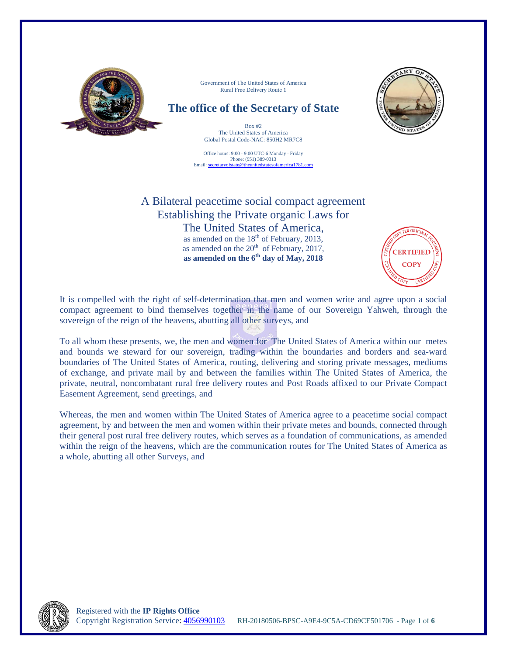

Office hours: 9:00 - 9:00 UTC-6 Monday - Friday Phone: (951) 389-0313 Email: secretaryofstate@theunitedstatesofamerica1781.com

# A Bilateral peacetime social compact agreement Establishing the Private organic Laws for

The United States of America, as amended on the  $18<sup>th</sup>$  of February, 2013, as amended on the  $20<sup>th</sup>$  of February, 2017, **as amended on the 6th day of May, 2018**



It is compelled with the right of self-determination that men and women write and agree upon a social compact agreement to bind themselves together in the name of our Sovereign Yahweh, through the sovereign of the reign of the heavens, abutting all other surveys, and

To all whom these presents, we, the men and women for The United States of America within our metes and bounds we steward for our sovereign, trading within the boundaries and borders and sea-ward boundaries of The United States of America, routing, delivering and storing private messages, mediums of exchange, and private mail by and between the families within The United States of America, the private, neutral, noncombatant rural free delivery routes and Post Roads affixed to our Private Compact Easement Agreement, send greetings, and

Whereas, the men and women within The United States of America agree to a peacetime social compact agreement, by and between the men and women within their private metes and bounds, connected through their general post rural free delivery routes, which serves as a foundation of communications, as amended within the reign of the heavens, which are the communication routes for The United States of America as a whole, abutting all other Surveys, and

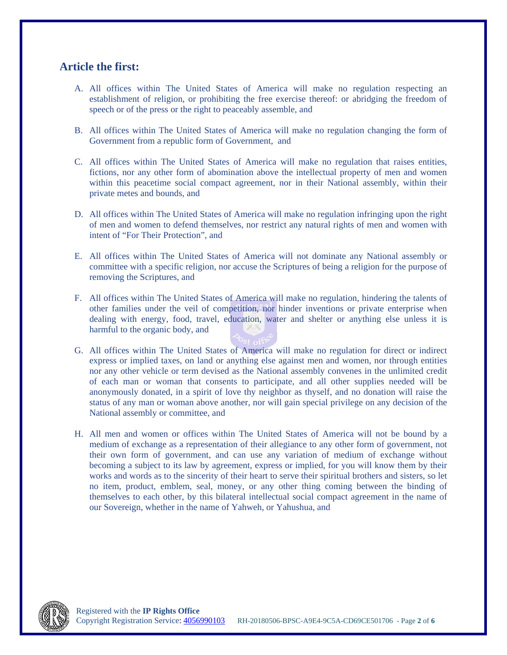## **Article the first:**

- A. All offices within The United States of America will make no regulation respecting an establishment of religion, or prohibiting the free exercise thereof: or abridging the freedom of speech or of the press or the right to peaceably assemble, and
- B. All offices within The United States of America will make no regulation changing the form of Government from a republic form of Government, and
- C. All offices within The United States of America will make no regulation that raises entities, fictions, nor any other form of abomination above the intellectual property of men and women within this peacetime social compact agreement, nor in their National assembly, within their private metes and bounds, and
- D. All offices within The United States of America will make no regulation infringing upon the right of men and women to defend themselves, nor restrict any natural rights of men and women with intent of "For Their Protection", and
- E. All offices within The United States of America will not dominate any National assembly or committee with a specific religion, nor accuse the Scriptures of being a religion for the purpose of removing the Scriptures, and
- F. All offices within The United States of America will make no regulation, hindering the talents of other families under the veil of competition, nor hinder inventions or private enterprise when dealing with energy, food, travel, education, water and shelter or anything else unless it is harmful to the organic body, and
- G. All offices within The United States of America will make no regulation for direct or indirect express or implied taxes, on land or anything else against men and women, nor through entities nor any other vehicle or term devised as the National assembly convenes in the unlimited credit of each man or woman that consents to participate, and all other supplies needed will be anonymously donated, in a spirit of love thy neighbor as thyself, and no donation will raise the status of any man or woman above another, nor will gain special privilege on any decision of the National assembly or committee, and
- H. All men and women or offices within The United States of America will not be bound by a medium of exchange as a representation of their allegiance to any other form of government, not their own form of government, and can use any variation of medium of exchange without becoming a subject to its law by agreement, express or implied, for you will know them by their works and words as to the sincerity of their heart to serve their spiritual brothers and sisters, so let no item, product, emblem, seal, money, or any other thing coming between the binding of themselves to each other, by this bilateral intellectual social compact agreement in the name of our Sovereign, whether in the name of Yahweh, or Yahushua, and

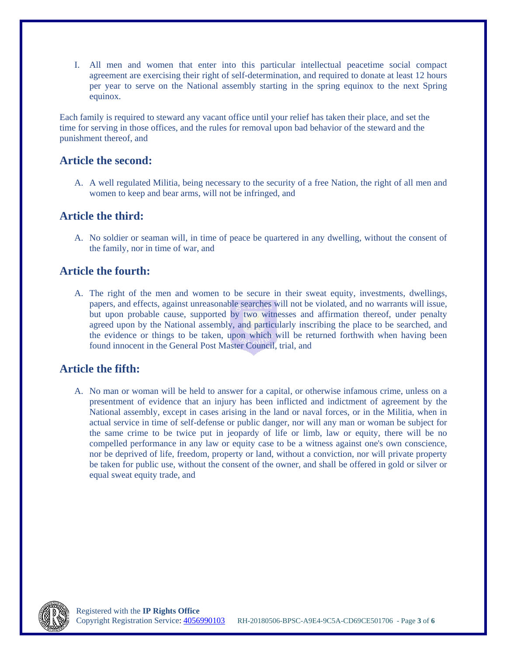I. All men and women that enter into this particular intellectual peacetime social compact agreement are exercising their right of self-determination, and required to donate at least 12 hours per year to serve on the National assembly starting in the spring equinox to the next Spring equinox.

Each family is required to steward any vacant office until your relief has taken their place, and set the time for serving in those offices, and the rules for removal upon bad behavior of the steward and the punishment thereof, and

#### **Article the second:**

A. A well regulated Militia, being necessary to the security of a free Nation, the right of all men and women to keep and bear arms, will not be infringed, and

#### **Article the third:**

A. No soldier or seaman will, in time of peace be quartered in any dwelling, without the consent of the family, nor in time of war, and

#### **Article the fourth:**

A. The right of the men and women to be secure in their sweat equity, investments, dwellings, papers, and effects, against unreasonable searches will not be violated, and no warrants will issue, but upon probable cause, supported by two witnesses and affirmation thereof, under penalty agreed upon by the National assembly, and particularly inscribing the place to be searched, and the evidence or things to be taken, upon which will be returned forthwith when having been found innocent in the General Post Master Council, trial, and

#### **Article the fifth:**

A. No man or woman will be held to answer for a capital, or otherwise infamous crime, unless on a presentment of evidence that an injury has been inflicted and indictment of agreement by the National assembly, except in cases arising in the land or naval forces, or in the Militia, when in actual service in time of self-defense or public danger, nor will any man or woman be subject for the same crime to be twice put in jeopardy of life or limb, law or equity, there will be no compelled performance in any law or equity case to be a witness against one's own conscience, nor be deprived of life, freedom, property or land, without a conviction, nor will private property be taken for public use, without the consent of the owner, and shall be offered in gold or silver or equal sweat equity trade, and

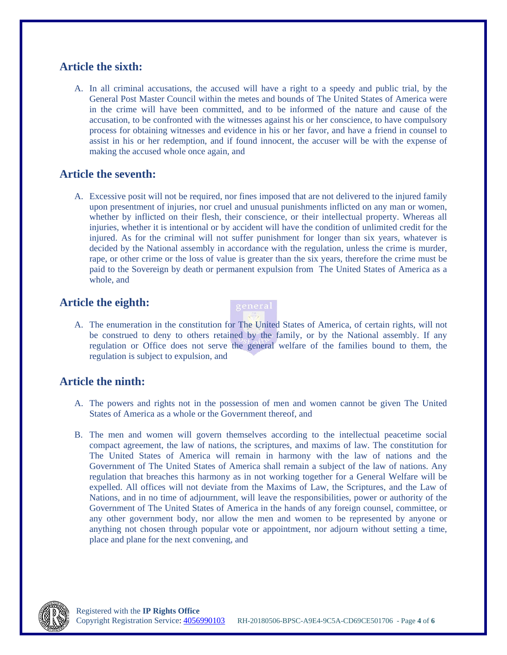### **Article the sixth:**

A. In all criminal accusations, the accused will have a right to a speedy and public trial, by the General Post Master Council within the metes and bounds of The United States of America were in the crime will have been committed, and to be informed of the nature and cause of the accusation, to be confronted with the witnesses against his or her conscience, to have compulsory process for obtaining witnesses and evidence in his or her favor, and have a friend in counsel to assist in his or her redemption, and if found innocent, the accuser will be with the expense of making the accused whole once again, and

# **Article the seventh:**

A. Excessive posit will not be required, nor fines imposed that are not delivered to the injured family upon presentment of injuries, nor cruel and unusual punishments inflicted on any man or women, whether by inflicted on their flesh, their conscience, or their intellectual property. Whereas all injuries, whether it is intentional or by accident will have the condition of unlimited credit for the injured. As for the criminal will not suffer punishment for longer than six years, whatever is decided by the National assembly in accordance with the regulation, unless the crime is murder, rape, or other crime or the loss of value is greater than the six years, therefore the crime must be paid to the Sovereign by death or permanent expulsion from The United States of America as a whole, and

# **Article the eighth:**



# **Article the ninth:**

- A. The powers and rights not in the possession of men and women cannot be given The United States of America as a whole or the Government thereof, and
- B. The men and women will govern themselves according to the intellectual peacetime social compact agreement, the law of nations, the scriptures, and maxims of law. The constitution for The United States of America will remain in harmony with the law of nations and the Government of The United States of America shall remain a subject of the law of nations. Any regulation that breaches this harmony as in not working together for a General Welfare will be expelled. All offices will not deviate from the Maxims of Law, the Scriptures, and the Law of Nations, and in no time of adjournment, will leave the responsibilities, power or authority of the Government of The United States of America in the hands of any foreign counsel, committee, or any other government body, nor allow the men and women to be represented by anyone or anything not chosen through popular vote or appointment, nor adjourn without setting a time, place and plane for the next convening, and

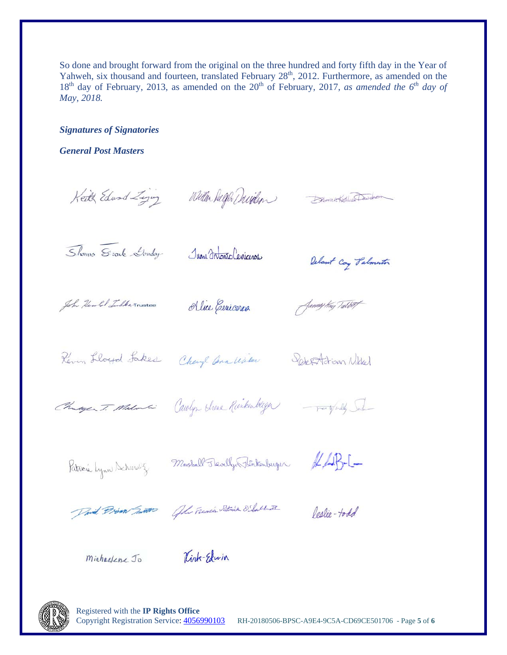So done and brought forward from the original on the three hundred and forty fifth day in the Year of Yahweh, six thousand and fourteen, translated February 28<sup>th</sup>, 2012. Furthermore, as amended on the 18<sup>th</sup> day of February, 2013, as amended on the 20<sup>th</sup> of February, 2017, as amended the 6<sup>th</sup> day of May, 2018.

**Signatures of Signatories** 

**General Post Masters** 

Keith Edward Ziging Willen Duffer Durillon Demanded Dasden

Shows Stock Louday

Juan Intonio Ceniceros,

Delant Coy Palmenton

John Herold Tulker Trustee

Alice Cenicoroa

Jammy Kay Talvert

Reven Lloyd Lakes Chayl ann With Sept Adrian Nikel

Changes T. Malonci Carolyn Strene Rinkenberger - party fieldy Salo-

Patricia Lynn Schmalz Marshall Flevelly Flenkenburger & LAB-C-

David Prim Junto John Francis Patrick O'Sallet

Carlie-todd

Michaelene Jo

Kirk-Edwin



Registered with the IP Rights Office Copyright Registration Service: 4056990103 RH-20180506-BPSC-A9E4-9C5A-CD69CE501706 - Page 5 of 6